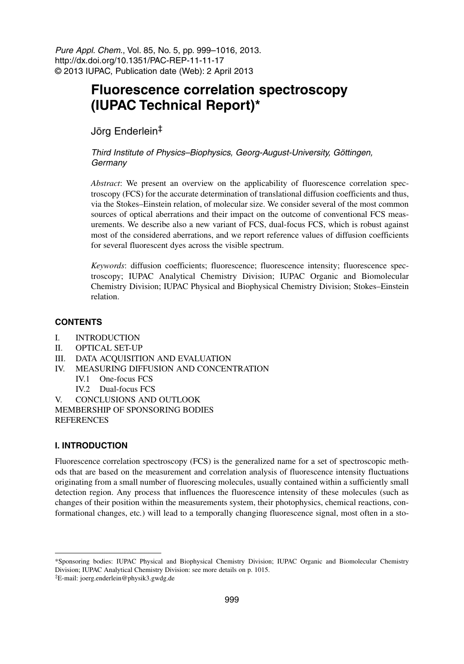Pure Appl. Chem., Vol. 85, No. 5, pp. 999–1016, 2013. http://dx.doi.org/10.1351/PAC-REP-11-11-17 © 2013 IUPAC, Publication date (Web): 2 April 2013

# **Fluorescence correlation spectroscopy (IUPAC Technical Report)\***

Jörg Enderlein‡

# Third Institute of Physics–Biophysics, Georg-August-University, Göttingen, **Germany**

*Abstract*: We present an overview on the applicability of fluorescence correlation spectroscopy (FCS) for the accurate determination of translational diffusion coefficients and thus, via the Stokes–Einstein relation, of molecular size. We consider several of the most common sources of optical aberrations and their impact on the outcome of conventional FCS measurements. We describe also a new variant of FCS, dual-focus FCS, which is robust against most of the considered aberrations, and we report reference values of diffusion coefficients for several fluorescent dyes across the visible spectrum.

*Keywords*: diffusion coefficients; fluorescence; fluorescence intensity; fluorescence spectroscopy; IUPAC Analytical Chemistry Division; IUPAC Organic and Biomolecular Chemistry Division; IUPAC Physical and Biophysical Chemistry Division; Stokes–Einstein relation.

# **CONTENTS**

- I. INTRODUCTION
- II. OPTICAL SET-UP
- III. DATA ACQUISITION AND EVALUATION
- IV. MEASURING DIFFUSION AND CONCENTRATION
	- IV.1 One-focus FCS
	- IV.2 Dual-focus FCS

V. CONCLUSIONS AND OUTLOOK

MEMBERSHIP OF SPONSORING BODIES REFERENCES

# **I. INTRODUCTION**

Fluorescence correlation spectroscopy (FCS) is the generalized name for a set of spectroscopic methods that are based on the measurement and correlation analysis of fluorescence intensity fluctuations originating from a small number of fluorescing molecules, usually contained within a sufficiently small detection region. Any process that influences the fluorescence intensity of these molecules (such as changes of their position within the measurements system, their photophysics, chemical reactions, conformational changes, etc*.*) will lead to a temporally changing fluorescence signal, most often in a sto-

<sup>\*</sup>Sponsoring bodies: IUPAC Physical and Biophysical Chemistry Division; IUPAC Organic and Biomolecular Chemistry Division; IUPAC Analytical Chemistry Division: see more details on p. 1015.

<sup>‡</sup>E-mail: joerg.enderlein@physik3.gwdg.de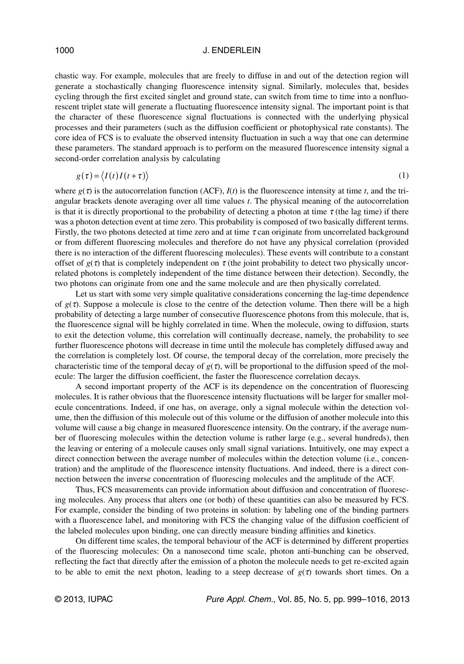chastic way. For example, molecules that are freely to diffuse in and out of the detection region will generate a stochastically changing fluorescence intensity signal. Similarly, molecules that, besides cycling through the first excited singlet and ground state, can switch from time to time into a nonfluorescent triplet state will generate a fluctuating fluorescence intensity signal. The important point is that the character of these fluorescence signal fluctuations is connected with the underlying physical processes and their parameters (such as the diffusion coefficient or photophysical rate constants). The core idea of FCS is to evaluate the observed intensity fluctuation in such a way that one can determine these parameters. The standard approach is to perform on the measured fluorescence intensity signal a second-order correlation analysis by calculating

$$
g(\tau) = \langle I(t)I(t+\tau) \rangle \tag{1}
$$

where  $g(\tau)$  is the autocorrelation function (ACF),  $I(t)$  is the fluorescence intensity at time *t*, and the triangular brackets denote averaging over all time values *t*. The physical meaning of the autocorrelation is that it is directly proportional to the probability of detecting a photon at time  $\tau$  (the lag time) if there was a photon detection event at time zero. This probability is composed of two basically different terms. Firstly, the two photons detected at time zero and at time  $\tau$  can originate from uncorrelated background or from different fluorescing molecules and therefore do not have any physical correlation (provided there is no interaction of the different fluorescing molecules). These events will contribute to a constant offset of  $g(\tau)$  that is completely independent on  $\tau$  (the joint probability to detect two physically uncorrelated photons is completely independent of the time distance between their detection). Secondly, the two photons can originate from one and the same molecule and are then physically correlated.

Let us start with some very simple qualitative considerations concerning the lag-time dependence of  $g(\tau)$ . Suppose a molecule is close to the centre of the detection volume. Then there will be a high probability of detecting a large number of consecutive fluorescence photons from this molecule, that is, the fluorescence signal will be highly correlated in time. When the molecule, owing to diffusion, starts to exit the detection volume, this correlation will continually decrease, namely, the probability to see further fluorescence photons will decrease in time until the molecule has completely diffused away and the correlation is completely lost. Of course, the temporal decay of the correlation, more precisely the characteristic time of the temporal decay of  $g(\tau)$ , will be proportional to the diffusion speed of the molecule: The larger the diffusion coefficient, the faster the fluorescence correlation decays.

A second important property of the ACF is its dependence on the concentration of fluorescing molecules. It is rather obvious that the fluorescence intensity fluctuations will be larger for smaller molecule concentrations. Indeed, if one has, on average, only a signal molecule within the detection volume, then the diffusion of this molecule out of this volume or the diffusion of another molecule into this volume will cause a big change in measured fluorescence intensity. On the contrary, if the average number of fluorescing molecules within the detection volume is rather large (e.g., several hundreds), then the leaving or entering of a molecule causes only small signal variations. Intuitively, one may expect a direct connection between the average number of molecules within the detection volume (i.e., concentration) and the amplitude of the fluorescence intensity fluctuations. And indeed, there is a direct connection between the inverse concentration of fluorescing molecules and the amplitude of the ACF.

Thus, FCS measurements can provide information about diffusion and concentration of fluorescing molecules. Any process that alters one (or both) of these quantities can also be measured by FCS. For example, consider the binding of two proteins in solution: by labeling one of the binding partners with a fluorescence label, and monitoring with FCS the changing value of the diffusion coefficient of the labeled molecules upon binding, one can directly measure binding affinities and kinetics.

On different time scales, the temporal behaviour of the ACF is determined by different properties of the fluorescing molecules: On a nanosecond time scale, photon anti-bunching can be observed, reflecting the fact that directly after the emission of a photon the molecule needs to get re-excited again to be able to emit the next photon, leading to a steep decrease of  $g(\tau)$  towards short times. On a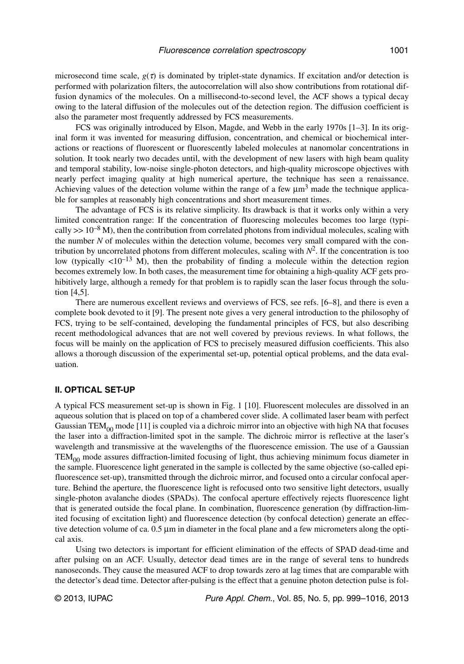microsecond time scale,  $g(\tau)$  is dominated by triplet-state dynamics. If excitation and/or detection is performed with polarization filters, the autocorrelation will also show contributions from rotational diffusion dynamics of the molecules. On a millisecond-to-second level, the ACF shows a typical decay owing to the lateral diffusion of the molecules out of the detection region. The diffusion coefficient is also the parameter most frequently addressed by FCS measurements.

FCS was originally introduced by Elson, Magde, and Webb in the early 1970s [1–3]. In its original form it was invented for measuring diffusion, concentration, and chemical or biochemical interactions or reactions of fluorescent or fluorescently labeled molecules at nanomolar concentrations in solution. It took nearly two decades until, with the development of new lasers with high beam quality and temporal stability, low-noise single-photon detectors, and high-quality microscope objectives with nearly perfect imaging quality at high numerical aperture, the technique has seen a renaissance. Achieving values of the detection volume within the range of a few  $\mu m^3$  made the technique applicable for samples at reasonably high concentrations and short measurement times.

The advantage of FCS is its relative simplicity. Its drawback is that it works only within a very limited concentration range: If the concentration of fluorescing molecules becomes too large (typically  $\gg 10^{-8}$  M), then the contribution from correlated photons from individual molecules, scaling with the number *N* of molecules within the detection volume, becomes very small compared with the contribution by uncorrelated photons from different molecules, scaling with  $N^2$ . If the concentration is too low (typically  $\langle 10^{-13}$  M), then the probability of finding a molecule within the detection region becomes extremely low. In both cases, the measurement time for obtaining a high-quality ACF gets prohibitively large, although a remedy for that problem is to rapidly scan the laser focus through the solution [4,5].

There are numerous excellent reviews and overviews of FCS, see refs. [6–8], and there is even a complete book devoted to it [9]. The present note gives a very general introduction to the philosophy of FCS, trying to be self-contained, developing the fundamental principles of FCS, but also describing recent methodological advances that are not well covered by previous reviews. In what follows, the focus will be mainly on the application of FCS to precisely measured diffusion coefficients. This also allows a thorough discussion of the experimental set-up, potential optical problems, and the data evaluation.

### **II. OPTICAL SET-UP**

A typical FCS measurement set-up is shown in Fig. 1 [10]. Fluorescent molecules are dissolved in an aqueous solution that is placed on top of a chambered cover slide. A collimated laser beam with perfect Gaussian TEM<sub>00</sub> mode [11] is coupled via a dichroic mirror into an objective with high NA that focuses the laser into a diffraction-limited spot in the sample. The dichroic mirror is reflective at the laser's wavelength and transmissive at the wavelengths of the fluorescence emission. The use of a Gaussian TEM<sub>00</sub> mode assures diffraction-limited focusing of light, thus achieving minimum focus diameter in the sample. Fluorescence light generated in the sample is collected by the same objective (so-called epifluorescence set-up), transmitted through the dichroic mirror, and focused onto a circular confocal aperture. Behind the aperture, the fluorescence light is refocused onto two sensitive light detectors, usually single-photon avalanche diodes (SPADs). The confocal aperture effectively rejects fluorescence light that is generated outside the focal plane. In combination, fluorescence generation (by diffraction-limited focusing of excitation light) and fluorescence detection (by confocal detection) generate an effective detection volume of ca. 0.5 μm in diameter in the focal plane and a few micrometers along the optical axis.

Using two detectors is important for efficient elimination of the effects of SPAD dead-time and after pulsing on an ACF. Usually, detector dead times are in the range of several tens to hundreds nanoseconds. They cause the measured ACF to drop towards zero at lag times that are comparable with the detector's dead time. Detector after-pulsing is the effect that a genuine photon detection pulse is fol-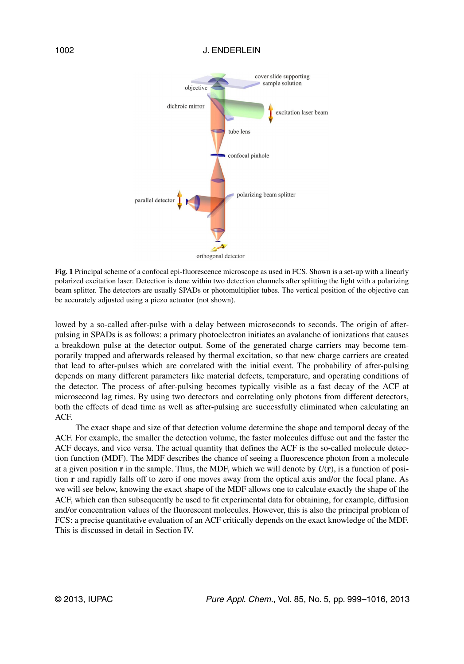

**Fig. 1** Principal scheme of a confocal epi-fluorescence microscope as used in FCS. Shown is a set-up with a linearly polarized excitation laser. Detection is done within two detection channels after splitting the light with a polarizing beam splitter. The detectors are usually SPADs or photomultiplier tubes. The vertical position of the objective can be accurately adjusted using a piezo actuator (not shown).

lowed by a so-called after-pulse with a delay between microseconds to seconds. The origin of afterpulsing in SPADs is as follows: a primary photoelectron initiates an avalanche of ionizations that causes a breakdown pulse at the detector output. Some of the generated charge carriers may become temporarily trapped and afterwards released by thermal excitation, so that new charge carriers are created that lead to after-pulses which are correlated with the initial event. The probability of after-pulsing depends on many different parameters like material defects, temperature, and operating conditions of the detector. The process of after-pulsing becomes typically visible as a fast decay of the ACF at microsecond lag times. By using two detectors and correlating only photons from different detectors, both the effects of dead time as well as after-pulsing are successfully eliminated when calculating an ACF.

The exact shape and size of that detection volume determine the shape and temporal decay of the ACF. For example, the smaller the detection volume, the faster molecules diffuse out and the faster the ACF decays, and vice versa. The actual quantity that defines the ACF is the so-called molecule detection function (MDF). The MDF describes the chance of seeing a fluorescence photon from a molecule at a given position **r** in the sample. Thus, the MDF, which we will denote by  $U(\mathbf{r})$ , is a function of position **r** and rapidly falls off to zero if one moves away from the optical axis and/or the focal plane. As we will see below, knowing the exact shape of the MDF allows one to calculate exactly the shape of the ACF, which can then subsequently be used to fit experimental data for obtaining, for example, diffusion and/or concentration values of the fluorescent molecules. However, this is also the principal problem of FCS: a precise quantitative evaluation of an ACF critically depends on the exact knowledge of the MDF. This is discussed in detail in Section IV.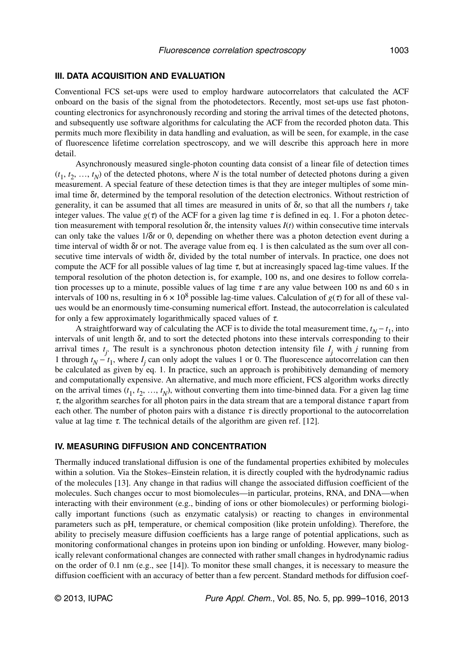# **III. DATA ACQUISITION AND EVALUATION**

Conventional FCS set-ups were used to employ hardware autocorrelators that calculated the ACF onboard on the basis of the signal from the photodetectors. Recently, most set-ups use fast photoncounting electronics for asynchronously recording and storing the arrival times of the detected photons, and subsequently use software algorithms for calculating the ACF from the recorded photon data. This permits much more flexibility in data handling and evaluation, as will be seen, for example, in the case of fluorescence lifetime correlation spectroscopy, and we will describe this approach here in more detail.

Asynchronously measured single-photon counting data consist of a linear file of detection times  $(t_1, t_2, \ldots, t_N)$  of the detected photons, where *N* is the total number of detected photons during a given measurement. A special feature of these detection times is that they are integer multiples of some minimal time δ*t*, determined by the temporal resolution of the detection electronics. Without restriction of generality, it can be assumed that all times are measured in units of  $\delta t$ , so that all the numbers  $t_j$  take integer values. The value  $g(\tau)$  of the ACF for a given lag time  $\tau$  is defined in eq. 1. For a photon detection measurement with temporal resolution δ*t*, the intensity values  $I(t)$  within consecutive time intervals can only take the values 1/δ*t* or 0, depending on whether there was a photon detection event during a time interval of width δ*t* or not. The average value from eq. 1 is then calculated as the sum over all consecutive time intervals of width δ*t*, divided by the total number of intervals. In practice, one does not compute the ACF for all possible values of lag time  $\tau$ , but at increasingly spaced lag-time values. If the temporal resolution of the photon detection is, for example, 100 ns, and one desires to follow correlation processes up to a minute, possible values of lag time  $\tau$  are any value between 100 ns and 60 s in intervals of 100 ns, resulting in  $6 \times 10^8$  possible lag-time values. Calculation of  $g(\tau)$  for all of these values would be an enormously time-consuming numerical effort. Instead, the autocorrelation is calculated for only a few approximately logarithmically spaced values of τ.

A straightforward way of calculating the ACF is to divide the total measurement time,  $t_N - t_1$ , into intervals of unit length δ*t*, and to sort the detected photons into these intervals corresponding to their arrival times  $t_j$ . The result is a synchronous photon detection intensity file  $I_j$  with *j* running from 1 through  $t_N - t_1$ , where  $I_j$  can only adopt the values 1 or 0. The fluorescence autocorrelation can then be calculated as given by eq. 1. In practice, such an approach is prohibitively demanding of memory and computationally expensive. An alternative, and much more efficient, FCS algorithm works directly on the arrival times  $(t_1, t_2, ..., t_N)$ , without converting them into time-binned data. For a given lag time <sup>τ</sup>, the algorithm searches for all photon pairs in the data stream that are a temporal distance <sup>τ</sup> apart from each other. The number of photon pairs with a distance  $\tau$  is directly proportional to the autocorrelation value at lag time  $\tau$ . The technical details of the algorithm are given ref. [12].

## **IV. MEASURING DIFFUSION AND CONCENTRATION**

Thermally induced translational diffusion is one of the fundamental properties exhibited by molecules within a solution. Via the Stokes–Einstein relation, it is directly coupled with the hydrodynamic radius of the molecules [13]. Any change in that radius will change the associated diffusion coefficient of the molecules. Such changes occur to most biomolecules—in particular, proteins, RNA, and DNA—when interacting with their environment (e.g., binding of ions or other biomolecules) or performing biologically important functions (such as enzymatic catalysis) or reacting to changes in environmental parameters such as pH, temperature, or chemical composition (like protein unfolding). Therefore, the ability to precisely measure diffusion coefficients has a large range of potential applications, such as monitoring conformational changes in proteins upon ion binding or unfolding. However, many biologically relevant conformational changes are connected with rather small changes in hydrodynamic radius on the order of 0.1 nm (e.g., see [14]). To monitor these small changes, it is necessary to measure the diffusion coefficient with an accuracy of better than a few percent. Standard methods for diffusion coef-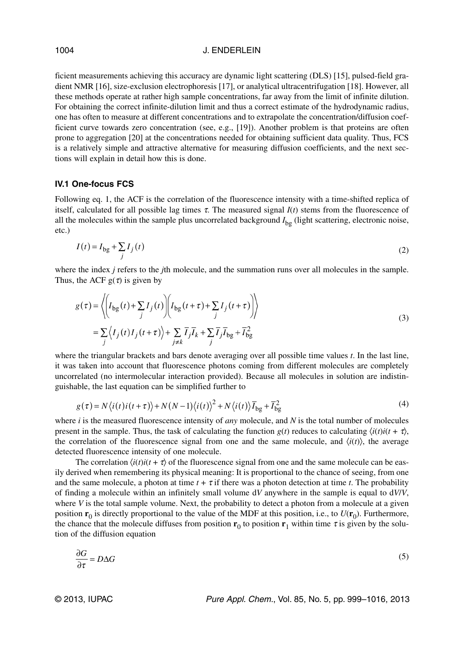ficient measurements achieving this accuracy are dynamic light scattering (DLS) [15], pulsed-field gradient NMR [16], size-exclusion electrophoresis [17], or analytical ultracentrifugation [18]. However, all these methods operate at rather high sample concentrations, far away from the limit of infinite dilution. For obtaining the correct infinite-dilution limit and thus a correct estimate of the hydrodynamic radius, one has often to measure at different concentrations and to extrapolate the concentration/diffusion coefficient curve towards zero concentration (see, e.g., [19]). Another problem is that proteins are often prone to aggregation [20] at the concentrations needed for obtaining sufficient data quality. Thus, FCS is a relatively simple and attractive alternative for measuring diffusion coefficients, and the next sections will explain in detail how this is done.

## **IV.1 One-focus FCS**

Following eq. 1, the ACF is the correlation of the fluorescence intensity with a time-shifted replica of itself, calculated for all possible lag times  $\tau$ . The measured signal  $I(t)$  stems from the fluorescence of all the molecules within the sample plus uncorrelated background  $I_{\text{ho}}$  (light scattering, electronic noise, etc.)

$$
I(t) = I_{bg} + \sum_{j} I_j(t)
$$
 (2)

where the index *j* refers to the *j*th molecule, and the summation runs over all molecules in the sample. Thus, the ACF  $g(\tau)$  is given by

$$
g(\tau) = \left\langle \left(I_{bg}(t) + \sum_{j} I_{j}(t)\right) \left(I_{bg}(t+\tau) + \sum_{j} I_{j}(t+\tau)\right) \right\rangle
$$
  
= 
$$
\sum_{j} \left\langle I_{j}(t) I_{j}(t+\tau) \right\rangle + \sum_{j \neq k} \overline{I}_{j} \overline{I}_{k} + \sum_{j} \overline{I}_{j} \overline{I}_{bg} + \overline{I}_{bg}^{2}
$$
 (3)

where the triangular brackets and bars denote averaging over all possible time values *t*. In the last line, it was taken into account that fluorescence photons coming from different molecules are completely uncorrelated (no intermolecular interaction provided). Because all molecules in solution are indistinguishable, the last equation can be simplified further to

$$
g(\tau) = N \langle i(t)i(t+\tau) \rangle + N(N-1) \langle i(t) \rangle^2 + N \langle i(t) \rangle \overline{I}_{bg} + \overline{I}_{bg}^2
$$
 (4)

where *i* is the measured fluorescence intensity of *any* molecule, and *N* is the total number of molecules present in the sample. Thus, the task of calculating the function  $g(t)$  reduces to calculating  $\langle i(t) i(t + \tau) \rangle$ , the correlation of the fluorescence signal from one and the same molecule, and  $\langle i(t) \rangle$ , the average detected fluorescence intensity of one molecule.

The correlation  $\langle i(t)i(t + \tau) \rangle$  of the fluorescence signal from one and the same molecule can be easily derived when remembering its physical meaning: It is proportional to the chance of seeing, from one and the same molecule, a photon at time  $t + \tau$  if there was a photon detection at time *t*. The probability of finding a molecule within an infinitely small volume d*V* anywhere in the sample is equal to d*V*/*V*, where *V* is the total sample volume. Next, the probability to detect a photon from a molecule at a given position  $\mathbf{r}_0$  is directly proportional to the value of the MDF at this position, i.e., to  $U(\mathbf{r}_0)$ . Furthermore, the chance that the molecule diffuses from position  $\mathbf{r}_0$  to position  $\mathbf{r}_1$  within time  $\tau$  is given by the solution of the diffusion equation

$$
\frac{\partial G}{\partial \tau} = D \Delta G \tag{5}
$$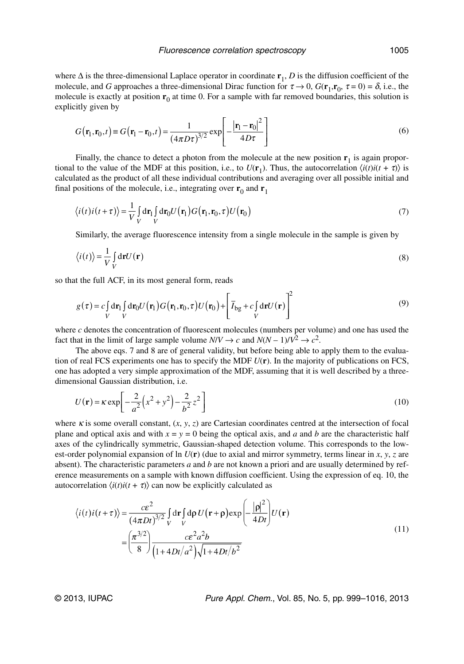where  $\Delta$  is the three-dimensional Laplace operator in coordinate  $\mathbf{r}_1$ , *D* is the diffusion coefficient of the molecule, and *G* approaches a three-dimensional Dirac function for  $\tau \to 0$ ,  $G(\mathbf{r}_1, \mathbf{r}_0, \tau = 0) = \delta$ , i.e., the molecule is exactly at position  $\mathbf{r}_0$  at time 0. For a sample with far removed boundaries, this solution is explicitly given by

$$
G(\mathbf{r}_1, \mathbf{r}_0, t) \equiv G(\mathbf{r}_1 - \mathbf{r}_0, t) = \frac{1}{(4\pi D\tau)^{3/2}} \exp\left[-\frac{|\mathbf{r}_1 - \mathbf{r}_0|^2}{4D\tau}\right]
$$
(6)

Finally, the chance to detect a photon from the molecule at the new position  $\mathbf{r}_1$  is again proportional to the value of the MDF at this position, i.e., to  $U(\mathbf{r}_1)$ . Thus, the autocorrelation  $\langle i(t)i(t + \tau) \rangle$  is calculated as the product of all these individual contributions and averaging over all possible initial and final positions of the molecule, i.e., integrating over  $\mathbf{r}_0$  and  $\mathbf{r}_1$ 

$$
\langle i(t)i(t+\tau) \rangle = \frac{1}{V} \int_{V} d\mathbf{r}_{1} \int_{V} d\mathbf{r}_{0} U(\mathbf{r}_{1}) G(\mathbf{r}_{1}, \mathbf{r}_{0}, \tau) U(\mathbf{r}_{0})
$$
\n(7)

Similarly, the average fluorescence intensity from a single molecule in the sample is given by

$$
\langle i(t) \rangle = \frac{1}{V} \int_{V} d\mathbf{r} U(\mathbf{r})
$$
\n(8)

so that the full ACF, in its most general form, reads

$$
g(\tau) = c \int\limits_V d\mathbf{r}_1 \int\limits_V d\mathbf{r}_0 U(\mathbf{r}_1) G(\mathbf{r}_1, \mathbf{r}_0, \tau) U(\mathbf{r}_0) + \left[ \overline{I}_{bg} + c \int\limits_V d\mathbf{r} U(\mathbf{r}) \right]^2
$$
\n(9)

where *c* denotes the concentration of fluorescent molecules (numbers per volume) and one has used the fact that in the limit of large sample volume  $N/V \rightarrow c$  and  $N(N-1)/V^2 \rightarrow c^2$ .

The above eqs. 7 and 8 are of general validity, but before being able to apply them to the evaluation of real FCS experiments one has to specify the MDF *U*(**r**). In the majority of publications on FCS, one has adopted a very simple approximation of the MDF, assuming that it is well described by a threedimensional Gaussian distribution, i.e.

$$
U(\mathbf{r}) = \kappa \exp\left[-\frac{2}{a^2}\left(x^2 + y^2\right) - \frac{2}{b^2}z^2\right]
$$
\n(10)

where  $\kappa$  is some overall constant,  $(x, y, z)$  are Cartesian coordinates centred at the intersection of focal plane and optical axis and with  $x = y = 0$  being the optical axis, and *a* and *b* are the characteristic half axes of the cylindrically symmetric, Gaussian-shaped detection volume. This corresponds to the lowest-order polynomial expansion of ln  $U(\mathbf{r})$  (due to axial and mirror symmetry, terms linear in *x*, *y*, *z* are absent). The characteristic parameters *a* and *b* are not known a priori and are usually determined by reference measurements on a sample with known diffusion coefficient. Using the expression of eq. 10, the autocorrelation  $\langle i(t)i(t + \tau) \rangle$  can now be explicitly calculated as

$$
\langle i(t)i(t+\tau) \rangle = \frac{c\varepsilon^2}{(4\pi Dt)^{3/2}} \int_{V} d\mathbf{r} \int_{V} d\rho U(\mathbf{r}+\rho) \exp\left(-\frac{|\rho|^2}{4Dt}\right) U(\mathbf{r})
$$
  
= 
$$
\left(\frac{\pi^{3/2}}{8}\right) \frac{c\varepsilon^2 a^2 b}{(1+4Dt/a^2)\sqrt{1+4Dt/b^2}}
$$
(11)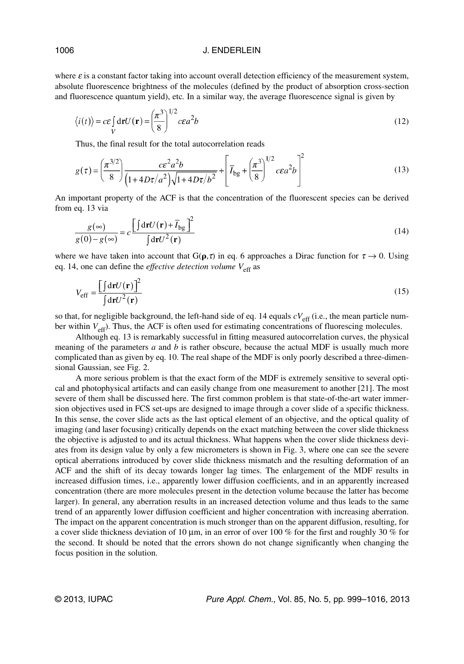where  $\varepsilon$  is a constant factor taking into account overall detection efficiency of the measurement system, absolute fluorescence brightness of the molecules (defined by the product of absorption cross-section and fluorescence quantum yield), etc*.* In a similar way, the average fluorescence signal is given by

$$
\langle i(t) \rangle = c \mathcal{E} \int_{V} d\mathbf{r} U(\mathbf{r}) = \left(\frac{\pi^3}{8}\right)^{1/2} c \mathcal{E} a^2 b \tag{12}
$$

Thus, the final result for the total autocorrelation reads

$$
g(\tau) = \left(\frac{\pi^{3/2}}{8}\right) \frac{c\varepsilon^2 a^2 b}{\left(1 + 4D\tau/a^2\right) \sqrt{1 + 4D\tau/b^2}} + \left[\overline{I}_{bg} + \left(\frac{\pi^3}{8}\right)^{1/2} c\varepsilon a^2 b\right]^2
$$
(13)

An important property of the ACF is that the concentration of the fluorescent species can be derived from eq. 13 via

$$
\frac{g(\infty)}{g(0) - g(\infty)} = c \frac{\left[\int d\mathbf{r} U(\mathbf{r}) + \overline{I}_{bg}\right]^2}{\int d\mathbf{r} U^2(\mathbf{r})}
$$
(14)

where we have taken into account that  $G(\rho, \tau)$  in eq. 6 approaches a Dirac function for  $\tau \to 0$ . Using eq. 14, one can define the *effective detection volume* V<sub>eff</sub> as

$$
V_{\rm eff} = \frac{\left[\int d\mathbf{r} U(\mathbf{r})\right]^2}{\int d\mathbf{r} U^2(\mathbf{r})}
$$
(15)

so that, for negligible background, the left-hand side of eq. 14 equals  $cV_{\text{eff}}$  (i.e., the mean particle number within  $V_{\text{eff}}$ ). Thus, the ACF is often used for estimating concentrations of fluorescing molecules.

Although eq. 13 is remarkably successful in fitting measured autocorrelation curves, the physical meaning of the parameters *a* and *b* is rather obscure, because the actual MDF is usually much more complicated than as given by eq. 10. The real shape of the MDF is only poorly described a three-dimensional Gaussian, see Fig. 2.

A more serious problem is that the exact form of the MDF is extremely sensitive to several optical and photophysical artifacts and can easily change from one measurement to another [21]. The most severe of them shall be discussed here. The first common problem is that state-of-the-art water immersion objectives used in FCS set-ups are designed to image through a cover slide of a specific thickness. In this sense, the cover slide acts as the last optical element of an objective, and the optical quality of imaging (and laser focusing) critically depends on the exact matching between the cover slide thickness the objective is adjusted to and its actual thickness. What happens when the cover slide thickness deviates from its design value by only a few micrometers is shown in Fig. 3, where one can see the severe optical aberrations introduced by cover slide thickness mismatch and the resulting deformation of an ACF and the shift of its decay towards longer lag times. The enlargement of the MDF results in increased diffusion times, i.e., apparently lower diffusion coefficients, and in an apparently increased concentration (there are more molecules present in the detection volume because the latter has become larger). In general, any aberration results in an increased detection volume and thus leads to the same trend of an apparently lower diffusion coefficient and higher concentration with increasing aberration. The impact on the apparent concentration is much stronger than on the apparent diffusion, resulting, for a cover slide thickness deviation of 10  $\mu$ m, in an error of over 100 % for the first and roughly 30 % for the second. It should be noted that the errors shown do not change significantly when changing the focus position in the solution.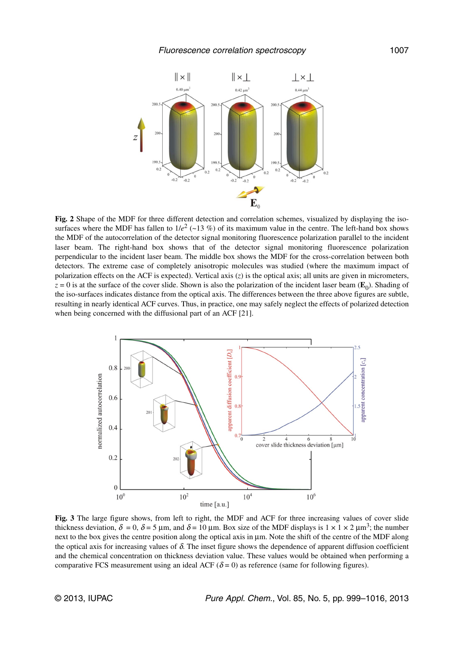

**Fig. 2** Shape of the MDF for three different detection and correlation schemes, visualized by displaying the isosurfaces where the MDF has fallen to  $1/e^2$  ( $\sim$ 13 %) of its maximum value in the centre. The left-hand box shows the MDF of the autocorrelation of the detector signal monitoring fluorescence polarization parallel to the incident laser beam. The right-hand box shows that of the detector signal monitoring fluorescence polarization perpendicular to the incident laser beam. The middle box shows the MDF for the cross-correlation between both detectors. The extreme case of completely anisotropic molecules was studied (where the maximum impact of polarization effects on the ACF is expected). Vertical axis (*z*) is the optical axis; all units are given in micrometers,  $z = 0$  is at the surface of the cover slide. Shown is also the polarization of the incident laser beam ( $\mathbf{E}_0$ ). Shading of the iso-surfaces indicates distance from the optical axis. The differences between the three above figures are subtle, resulting in nearly identical ACF curves. Thus, in practice, one may safely neglect the effects of polarized detection when being concerned with the diffusional part of an ACF [21].



**Fig. 3** The large figure shows, from left to right, the MDF and ACF for three increasing values of cover slide thickness deviation,  $\delta = 0$ ,  $\delta = 5$  μm, and  $\delta = 10$  μm. Box size of the MDF displays is  $1 \times 1 \times 2$  μm<sup>3</sup>; the number next to the box gives the centre position along the optical axis in μm. Note the shift of the centre of the MDF along the optical axis for increasing values of  $\delta$ . The inset figure shows the dependence of apparent diffusion coefficient and the chemical concentration on thickness deviation value. These values would be obtained when performing a comparative FCS measurement using an ideal ACF ( $\delta$  = 0) as reference (same for following figures).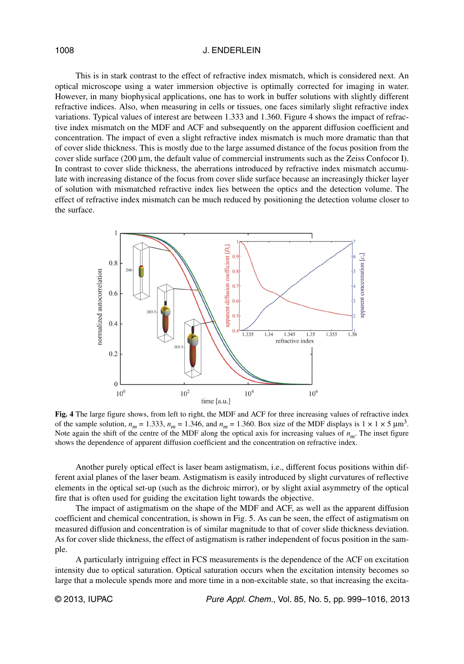This is in stark contrast to the effect of refractive index mismatch, which is considered next. An optical microscope using a water immersion objective is optimally corrected for imaging in water. However, in many biophysical applications, one has to work in buffer solutions with slightly different refractive indices. Also, when measuring in cells or tissues, one faces similarly slight refractive index variations. Typical values of interest are between 1.333 and 1.360. Figure 4 shows the impact of refractive index mismatch on the MDF and ACF and subsequently on the apparent diffusion coefficient and concentration. The impact of even a slight refractive index mismatch is much more dramatic than that of cover slide thickness. This is mostly due to the large assumed distance of the focus position from the cover slide surface (200 μm, the default value of commercial instruments such as the Zeiss Confocor I). In contrast to cover slide thickness, the aberrations introduced by refractive index mismatch accumulate with increasing distance of the focus from cover slide surface because an increasingly thicker layer of solution with mismatched refractive index lies between the optics and the detection volume. The effect of refractive index mismatch can be much reduced by positioning the detection volume closer to the surface.



**Fig. 4** The large figure shows, from left to right, the MDF and ACF for three increasing values of refractive index of the sample solution,  $n_m = 1.333$ ,  $n_m = 1.346$ , and  $n_m = 1.360$ . Box size of the MDF displays is  $1 \times 1 \times 5 \mu m^3$ . Note again the shift of the centre of the MDF along the optical axis for increasing values of  $n_m$ . The inset figure shows the dependence of apparent diffusion coefficient and the concentration on refractive index.

Another purely optical effect is laser beam astigmatism, i.e., different focus positions within different axial planes of the laser beam. Astigmatism is easily introduced by slight curvatures of reflective elements in the optical set-up (such as the dichroic mirror), or by slight axial asymmetry of the optical fire that is often used for guiding the excitation light towards the objective.

The impact of astigmatism on the shape of the MDF and ACF, as well as the apparent diffusion coefficient and chemical concentration, is shown in Fig. 5. As can be seen, the effect of astigmatism on measured diffusion and concentration is of similar magnitude to that of cover slide thickness deviation. As for cover slide thickness, the effect of astigmatism is rather independent of focus position in the sample.

A particularly intriguing effect in FCS measurements is the dependence of the ACF on excitation intensity due to optical saturation. Optical saturation occurs when the excitation intensity becomes so large that a molecule spends more and more time in a non-excitable state, so that increasing the excita-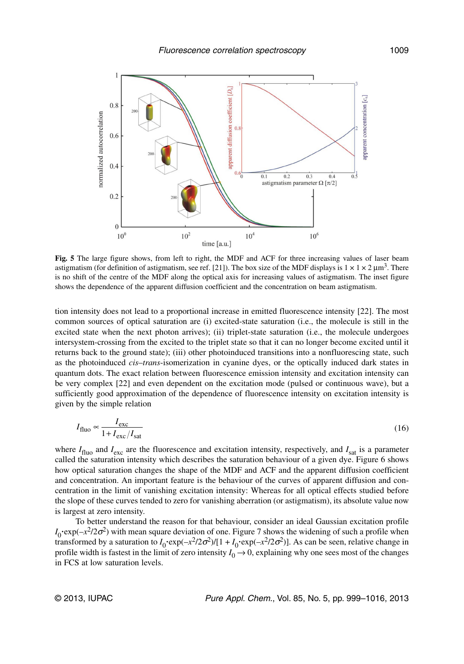

**Fig. 5** The large figure shows, from left to right, the MDF and ACF for three increasing values of laser beam astigmatism (for definition of astigmatism, see ref. [21]). The box size of the MDF displays is  $1 \times 1 \times 2 \mu m^3$ . There is no shift of the centre of the MDF along the optical axis for increasing values of astigmatism. The inset figure shows the dependence of the apparent diffusion coefficient and the concentration on beam astigmatism.

tion intensity does not lead to a proportional increase in emitted fluorescence intensity [22]. The most common sources of optical saturation are (i) excited-state saturation (i.e., the molecule is still in the excited state when the next photon arrives); (ii) triplet-state saturation (i.e., the molecule undergoes intersystem-crossing from the excited to the triplet state so that it can no longer become excited until it returns back to the ground state); (iii) other photoinduced transitions into a nonfluorescing state, such as the photoinduced *cis*–*trans*-isomerization in cyanine dyes, or the optically induced dark states in quantum dots. The exact relation between fluorescence emission intensity and excitation intensity can be very complex [22] and even dependent on the excitation mode (pulsed or continuous wave), but a sufficiently good approximation of the dependence of fluorescence intensity on excitation intensity is given by the simple relation

$$
I_{\text{fluo}} \propto \frac{I_{\text{exc}}}{1 + I_{\text{exc}}/I_{\text{sat}}} \tag{16}
$$

where  $I_{\text{fluo}}$  and  $I_{\text{exc}}$  are the fluorescence and excitation intensity, respectively, and  $I_{\text{sat}}$  is a parameter called the saturation intensity which describes the saturation behaviour of a given dye. Figure 6 shows how optical saturation changes the shape of the MDF and ACF and the apparent diffusion coefficient and concentration. An important feature is the behaviour of the curves of apparent diffusion and concentration in the limit of vanishing excitation intensity: Whereas for all optical effects studied before the slope of these curves tended to zero for vanishing aberration (or astigmatism), its absolute value now is largest at zero intensity.

To better understand the reason for that behaviour, consider an ideal Gaussian excitation profile  $I_0$ · $\exp(-x^2/2\sigma^2)$  with mean square deviation of one. Figure 7 shows the widening of such a profile when transformed by a saturation to  $I_0$ ·exp( $-x^2/2\sigma^2$ )/[1 +  $I_0$ ·exp( $-x^2/2\sigma^2$ )]. As can be seen, relative change in profile width is fastest in the limit of zero intensity  $I_0 \rightarrow 0$ , explaining why one sees most of the changes in FCS at low saturation levels.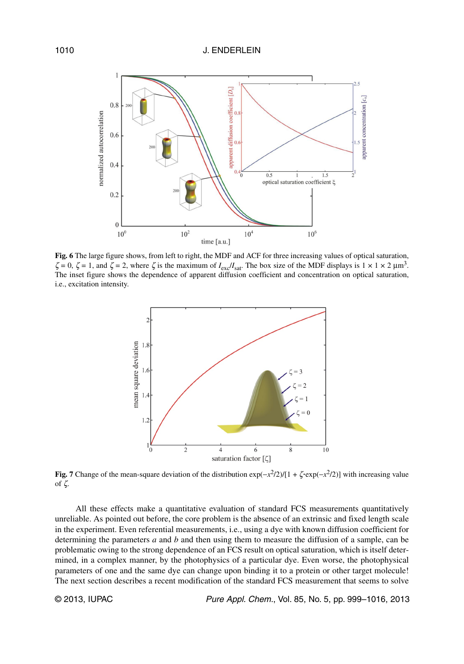

**Fig. 6** The large figure shows, from left to right, the MDF and ACF for three increasing values of optical saturation,  $\zeta = 0$ ,  $\zeta = 1$ , and  $\zeta = 2$ , where  $\zeta$  is the maximum of  $I_{\text{exc}}/I_{\text{sat}}$ . The box size of the MDF displays is  $1 \times 1 \times 2 \mu m^3$ . The inset figure shows the dependence of apparent diffusion coefficient and concentration on optical saturation, i.e., excitation intensity.



**Fig. 7** Change of the mean-square deviation of the distribution  $\exp(-x^2/2)/[1 + \zeta \cdot \exp(-x^2/2)]$  with increasing value of ζ.

All these effects make a quantitative evaluation of standard FCS measurements quantitatively unreliable. As pointed out before, the core problem is the absence of an extrinsic and fixed length scale in the experiment. Even referential measurements, i.e., using a dye with known diffusion coefficient for determining the parameters *a* and *b* and then using them to measure the diffusion of a sample, can be problematic owing to the strong dependence of an FCS result on optical saturation, which is itself determined, in a complex manner, by the photophysics of a particular dye. Even worse, the photophysical parameters of one and the same dye can change upon binding it to a protein or other target molecule! The next section describes a recent modification of the standard FCS measurement that seems to solve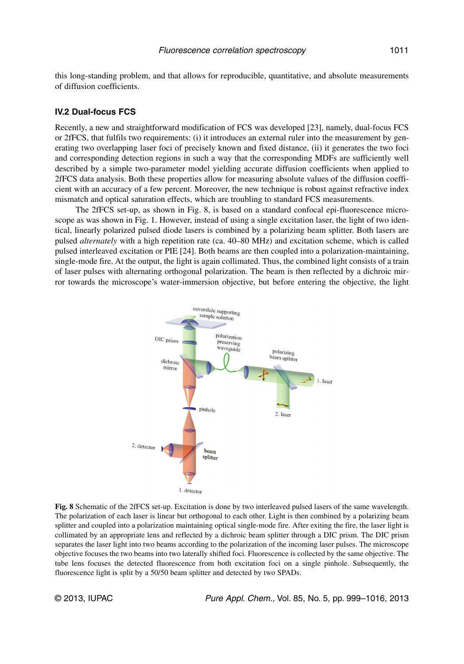this long-standing problem, and that allows for reproducible, quantitative, and absolute measurements of diffusion coefficients.

## **IV.2 Dual-focus FCS**

Recently, a new and straightforward modification of FCS was developed [23], namely, dual-focus FCS or 2fFCS, that fulfils two requirements: (i) it introduces an external ruler into the measurement by generating two overlapping laser foci of precisely known and fixed distance, (ii) it generates the two foci and corresponding detection regions in such a way that the corresponding MDFs are sufficiently well described by a simple two-parameter model yielding accurate diffusion coefficients when applied to 2fFCS data analysis. Both these properties allow for measuring absolute values of the diffusion coefficient with an accuracy of a few percent. Moreover, the new technique is robust against refractive index mismatch and optical saturation effects, which are troubling to standard FCS measurements.

The 2fFCS set-up, as shown in Fig. 8, is based on a standard confocal epi-fluorescence microscope as was shown in Fig. 1. However, instead of using a single excitation laser, the light of two identical, linearly polarized pulsed diode lasers is combined by a polarizing beam splitter. Both lasers are pulsed *alternately* with a high repetition rate (ca. 40–80 MHz) and excitation scheme, which is called pulsed interleaved excitation or PIE [24]. Both beams are then coupled into a polarization-maintaining, single-mode fire. At the output, the light is again collimated. Thus, the combined light consists of a train of laser pulses with alternating orthogonal polarization. The beam is then reflected by a dichroic mirror towards the microscope's water-immersion objective, but before entering the objective, the light



**Fig. 8** Schematic of the 2fFCS set-up. Excitation is done by two interleaved pulsed lasers of the same wavelength. The polarization of each laser is linear but orthogonal to each other. Light is then combined by a polarizing beam splitter and coupled into a polarization maintaining optical single-mode fire. After exiting the fire, the laser light is collimated by an appropriate lens and reflected by a dichroic beam splitter through a DIC prism. The DIC prism separates the laser light into two beams according to the polarization of the incoming laser pulses. The microscope objective focuses the two beams into two laterally shifted foci. Fluorescence is collected by the same objective. The tube lens focuses the detected fluorescence from both excitation foci on a single pinhole. Subsequently, the fluorescence light is split by a 50/50 beam splitter and detected by two SPADs.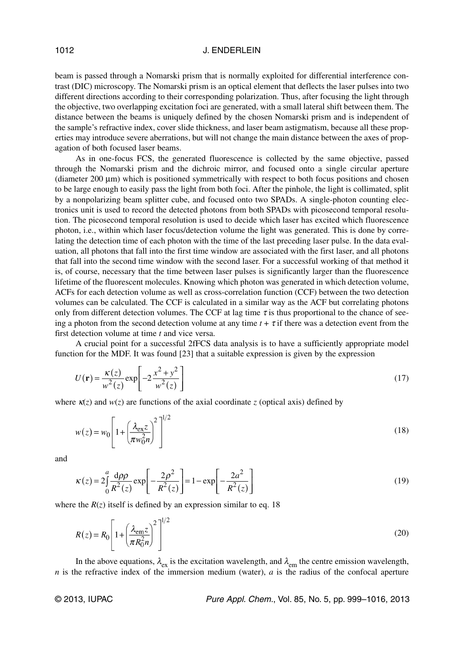beam is passed through a Nomarski prism that is normally exploited for differential interference contrast (DIC) microscopy. The Nomarski prism is an optical element that deflects the laser pulses into two different directions according to their corresponding polarization. Thus, after focusing the light through the objective, two overlapping excitation foci are generated, with a small lateral shift between them. The distance between the beams is uniquely defined by the chosen Nomarski prism and is independent of the sample's refractive index, cover slide thickness, and laser beam astigmatism, because all these properties may introduce severe aberrations, but will not change the main distance between the axes of propagation of both focused laser beams.

As in one-focus FCS, the generated fluorescence is collected by the same objective, passed through the Nomarski prism and the dichroic mirror, and focused onto a single circular aperture (diameter 200 μm) which is positioned symmetrically with respect to both focus positions and chosen to be large enough to easily pass the light from both foci. After the pinhole, the light is collimated, split by a nonpolarizing beam splitter cube, and focused onto two SPADs. A single-photon counting electronics unit is used to record the detected photons from both SPADs with picosecond temporal resolution. The picosecond temporal resolution is used to decide which laser has excited which fluorescence photon, i.e., within which laser focus/detection volume the light was generated. This is done by correlating the detection time of each photon with the time of the last preceding laser pulse. In the data evaluation, all photons that fall into the first time window are associated with the first laser, and all photons that fall into the second time window with the second laser. For a successful working of that method it is, of course, necessary that the time between laser pulses is significantly larger than the fluorescence lifetime of the fluorescent molecules. Knowing which photon was generated in which detection volume, ACFs for each detection volume as well as cross-correlation function (CCF) between the two detection volumes can be calculated. The CCF is calculated in a similar way as the ACF but correlating photons only from different detection volumes. The CCF at lag time  $\tau$  is thus proportional to the chance of seeing a photon from the second detection volume at any time  $t + \tau$  if there was a detection event from the first detection volume at time *t* and vice versa.

A crucial point for a successful 2fFCS data analysis is to have a sufficiently appropriate model function for the MDF. It was found [23] that a suitable expression is given by the expression

$$
U(\mathbf{r}) = \frac{\kappa(z)}{w^2(z)} \exp\left[-2\frac{x^2 + y^2}{w^2(z)}\right]
$$
(17)

where  $\kappa(z)$  and  $w(z)$  are functions of the axial coordinate *z* (optical axis) defined by

$$
w(z) = w_0 \left[ 1 + \left( \frac{\lambda_{\text{ex}} z}{\pi w_0^2 n} \right)^2 \right]^{1/2} \tag{18}
$$

and

$$
\kappa(z) = 2\int_0^a \frac{\mathrm{d}\rho \rho}{R^2(z)} \exp\left[-\frac{2\rho^2}{R^2(z)}\right] = 1 - \exp\left[-\frac{2a^2}{R^2(z)}\right] \tag{19}
$$

where the  $R(z)$  itself is defined by an expression similar to eq. 18

$$
R(z) = R_0 \left[ 1 + \left( \frac{\lambda_{\rm em} z}{\pi R_0^2 n} \right)^2 \right]^{1/2}
$$
 (20)

In the above equations,  $\lambda_{ex}$  is the excitation wavelength, and  $\lambda_{em}$  the centre emission wavelength, *n* is the refractive index of the immersion medium (water), *a* is the radius of the confocal aperture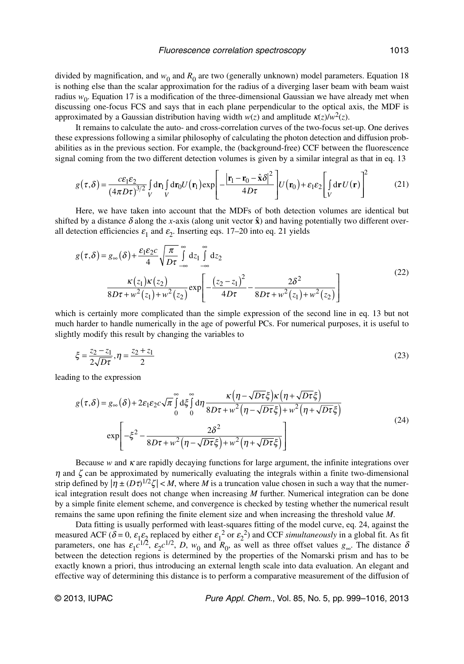divided by magnification, and  $w_0$  and  $R_0$  are two (generally unknown) model parameters. Equation 18 is nothing else than the scalar approximation for the radius of a diverging laser beam with beam waist radius  $w<sub>0</sub>$ . Equation 17 is a modification of the three-dimensional Gaussian we have already met when discussing one-focus FCS and says that in each plane perpendicular to the optical axis, the MDF is approximated by a Gaussian distribution having width  $w(z)$  and amplitude  $\kappa(z)/w^2(z)$ .

It remains to calculate the auto- and cross-correlation curves of the two-focus set-up. One derives these expressions following a similar philosophy of calculating the photon detection and diffusion probabilities as in the previous section. For example, the (background-free) CCF between the fluorescence signal coming from the two different detection volumes is given by a similar integral as that in eq. 13

$$
g(\tau,\delta) = \frac{c\epsilon_1\epsilon_2}{(4\pi D\tau)^{3/2}} \int_V d\mathbf{r}_1 \int_V d\mathbf{r}_0 U(\mathbf{r}_1) \exp\left[-\frac{|\mathbf{r}_1 - \mathbf{r}_0 - \hat{\mathbf{x}}\delta|^2}{4D\tau}\right] U(\mathbf{r}_0) + \varepsilon_1 \varepsilon_2 \left[\int_V d\mathbf{r} U(\mathbf{r})\right]^2\tag{21}
$$

Here, we have taken into account that the MDFs of both detection volumes are identical but shifted by a distance  $\delta$  along the *x*-axis (along unit vector  $\hat{\mathbf{x}}$ ) and having potentially two different overall detection efficiencies  $\varepsilon_1$  and  $\varepsilon_2$ . Inserting eqs. 17–20 into eq. 21 yields

$$
g(\tau,\delta) = g_{\infty}(\delta) + \frac{\varepsilon_1 \varepsilon_2 c}{4} \sqrt{\frac{\pi}{D\tau}} \int_{-\infty}^{\infty} dz_1 \int_{-\infty}^{\infty} dz_2
$$
  

$$
\frac{\kappa(z_1)\kappa(z_2)}{8D\tau + w^2(z_1) + w^2(z_2)} exp\left[ -\frac{(z_2 - z_1)^2}{4D\tau} - \frac{2\delta^2}{8D\tau + w^2(z_1) + w^2(z_2)} \right]
$$
(22)

which is certainly more complicated than the simple expression of the second line in eq. 13 but not much harder to handle numerically in the age of powerful PCs. For numerical purposes, it is useful to slightly modify this result by changing the variables to

$$
\xi = \frac{z_2 - z_1}{2\sqrt{D\tau}}, \eta = \frac{z_2 + z_1}{2}
$$
\n(23)

leading to the expression

$$
g(\tau,\delta) = g_{\infty}(\delta) + 2\varepsilon_1 \varepsilon_2 c \sqrt{\pi} \int_0^{\infty} d\xi \int_0^{\infty} d\eta \frac{\kappa \left(\eta - \sqrt{D\tau}\xi\right) \kappa \left(\eta + \sqrt{D\tau}\xi\right)}{8D\tau + \kappa^2 \left(\eta - \sqrt{D\tau}\xi\right) + \kappa^2 \left(\eta + \sqrt{D\tau}\xi\right)}
$$
\n
$$
\exp\left[-\xi^2 - \frac{2\delta^2}{8D\tau + \kappa^2 \left(\eta - \sqrt{D\tau}\xi\right) + \kappa^2 \left(\eta + \sqrt{D\tau}\xi\right)}\right]
$$
\n(24)

Because  $w$  and  $\kappa$  are rapidly decaying functions for large argument, the infinite integrations over  $\eta$  and  $\zeta$  can be approximated by numerically evaluating the integrals within a finite two-dimensional strip defined by  $|\eta \pm (D\tau)^{1/2}\zeta| < M$ , where *M* is a truncation value chosen in such a way that the numerical integration result does not change when increasing *M* further. Numerical integration can be done by a simple finite element scheme, and convergence is checked by testing whether the numerical result remains the same upon refining the finite element size and when increasing the threshold value *M*.

Data fitting is usually performed with least-squares fitting of the model curve, eq. 24, against the measured ACF ( $\delta$  = 0,  $\varepsilon_1 \varepsilon_2$  replaced by either  $\varepsilon_1^2$  or  $\varepsilon_2^2$ ) and CCF *simultaneously* in a global fit. As fit parameters, one has  $\varepsilon_1 c^{1/2}$ ,  $\varepsilon_2 c^{1/2}$ , *D*,  $w_0$  and  $R_0$ , as well as three offset values  $g_\infty$ . The distance  $\delta$ between the detection regions is determined by the properties of the Nomarski prism and has to be exactly known a priori, thus introducing an external length scale into data evaluation. An elegant and effective way of determining this distance is to perform a comparative measurement of the diffusion of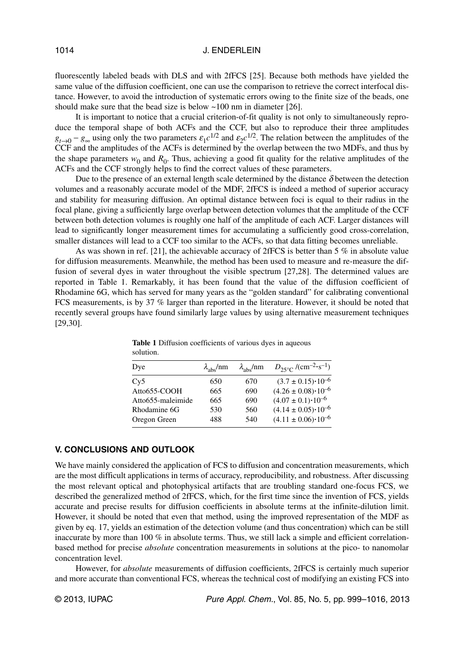fluorescently labeled beads with DLS and with 2fFCS [25]. Because both methods have yielded the same value of the diffusion coefficient, one can use the comparison to retrieve the correct interfocal distance. However, to avoid the introduction of systematic errors owing to the finite size of the beads, one should make sure that the bead size is below  $\sim 100$  nm in diameter [26].

It is important to notice that a crucial criterion-of-fit quality is not only to simultaneously reproduce the temporal shape of both ACFs and the CCF, but also to reproduce their three amplitudes  $g_{t\to0} - g_{\infty}$  using only the two parameters  $\varepsilon_1 c^{1/2}$  and  $\varepsilon_2 c^{1/2}$ . The relation between the amplitudes of the CCF and the amplitudes of the ACFs is determined by the overlap between the two MDFs, and thus by the shape parameters  $w_0$  and  $R_0$ . Thus, achieving a good fit quality for the relative amplitudes of the ACFs and the CCF strongly helps to find the correct values of these parameters.

Due to the presence of an external length scale determined by the distance  $\delta$  between the detection volumes and a reasonably accurate model of the MDF, 2fFCS is indeed a method of superior accuracy and stability for measuring diffusion. An optimal distance between foci is equal to their radius in the focal plane, giving a sufficiently large overlap between detection volumes that the amplitude of the CCF between both detection volumes is roughly one half of the amplitude of each ACF. Larger distances will lead to significantly longer measurement times for accumulating a sufficiently good cross-correlation, smaller distances will lead to a CCF too similar to the ACFs, so that data fitting becomes unreliable.

As was shown in ref. [21], the achievable accuracy of 2fFCS is better than 5 % in absolute value for diffusion measurements. Meanwhile, the method has been used to measure and re-measure the diffusion of several dyes in water throughout the visible spectrum [27,28]. The determined values are reported in Table 1. Remarkably, it has been found that the value of the diffusion coefficient of Rhodamine 6G, which has served for many years as the "golden standard" for calibrating conventional FCS measurements, is by 37 % larger than reported in the literature. However, it should be noted that recently several groups have found similarly large values by using alternative measurement techniques [29,30].

| Dye               | $\lambda_{abc}/nm$ | $\lambda_{\rm abs}/\rm{nm}$ | $D_{25\degree}$ /(cm <sup>-2</sup> ·s <sup>-1</sup> ) |
|-------------------|--------------------|-----------------------------|-------------------------------------------------------|
| Cv5               | 650                | 670                         | $(3.7 \pm 0.15) \cdot 10^{-6}$                        |
| Atto655-COOH      | 665                | 690                         | $(4.26 \pm 0.08) \cdot 10^{-6}$                       |
| Atto655-maleimide | 665                | 690                         | $(4.07 \pm 0.1)\cdot 10^{-6}$                         |
| Rhodamine 6G      | 530                | 560                         | $(4.14 \pm 0.05) \cdot 10^{-6}$                       |
| Oregon Green      | 488                | 540                         | $(4.11 \pm 0.06) \cdot 10^{-6}$                       |

**Table 1** Diffusion coefficients of various dyes in aqueous solution.

# **V. CONCLUSIONS AND OUTLOOK**

We have mainly considered the application of FCS to diffusion and concentration measurements, which are the most difficult applications in terms of accuracy, reproducibility, and robustness. After discussing the most relevant optical and photophysical artifacts that are troubling standard one-focus FCS, we described the generalized method of 2fFCS, which, for the first time since the invention of FCS, yields accurate and precise results for diffusion coefficients in absolute terms at the infinite-dilution limit. However, it should be noted that even that method, using the improved representation of the MDF as given by eq. 17, yields an estimation of the detection volume (and thus concentration) which can be still inaccurate by more than  $100\%$  in absolute terms. Thus, we still lack a simple and efficient correlationbased method for precise *absolute* concentration measurements in solutions at the pico- to nanomolar concentration level.

However, for *absolute* measurements of diffusion coefficients, 2fFCS is certainly much superior and more accurate than conventional FCS, whereas the technical cost of modifying an existing FCS into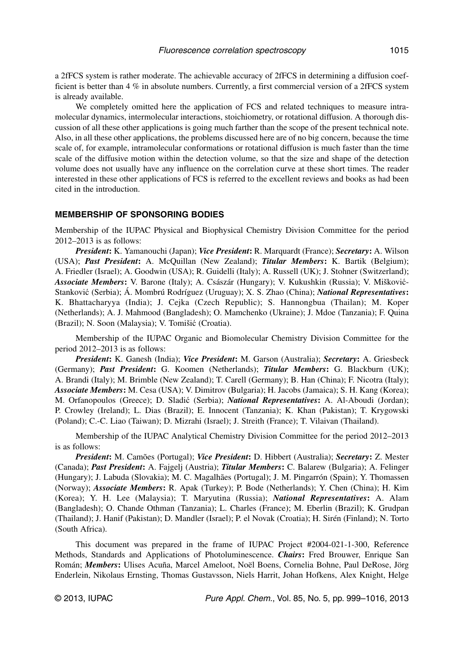a 2fFCS system is rather moderate. The achievable accuracy of 2fFCS in determining a diffusion coefficient is better than 4 % in absolute numbers. Currently, a first commercial version of a 2fFCS system is already available.

We completely omitted here the application of FCS and related techniques to measure intramolecular dynamics, intermolecular interactions, stoichiometry, or rotational diffusion. A thorough discussion of all these other applications is going much farther than the scope of the present technical note. Also, in all these other applications, the problems discussed here are of no big concern, because the time scale of, for example, intramolecular conformations or rotational diffusion is much faster than the time scale of the diffusive motion within the detection volume, so that the size and shape of the detection volume does not usually have any influence on the correlation curve at these short times. The reader interested in these other applications of FCS is referred to the excellent reviews and books as had been cited in the introduction.

## **MEMBERSHIP OF SPONSORING BODIES**

Membership of the IUPAC Physical and Biophysical Chemistry Division Committee for the period 2012–2013 is as follows:

*President***:** K. Yamanouchi (Japan); *Vice President***:** R. Marquardt (France); *Secretary***:** A. Wilson (USA); *Past President***:** A. McQuillan (New Zealand); *Titular Members***:** K. Bartik (Belgium); A. Friedler (Israel); A. Goodwin (USA); R. Guidelli (Italy); A. Russell (UK); J. Stohner (Switzerland); *Associate Members***:** V. Barone (Italy); A. Császár (Hungary); V. Kukushkin (Russia); V. Mišković-Stanković (Serbia); Á. Mombrú Rodríguez (Uruguay); X. S. Zhao (China); *National Representatives***:** K. Bhattacharyya (India); J. Cejka (Czech Republic); S. Hannongbua (Thailan); M. Koper (Netherlands); A. J. Mahmood (Bangladesh); O. Mamchenko (Ukraine); J. Mdoe (Tanzania); F. Quina (Brazil); N. Soon (Malaysia); V. Tomišić (Croatia).

Membership of the IUPAC Organic and Biomolecular Chemistry Division Committee for the period 2012–2013 is as follows:

*President***:** K. Ganesh (India); *Vice President***:** M. Garson (Australia); *Secretary***:** A. Griesbeck (Germany); *Past President***:** G. Koomen (Netherlands); *Titular Members***:** G. Blackburn (UK); A. Brandi (Italy); M. Brimble (New Zealand); T. Carell (Germany); B. Han (China); F. Nicotra (Italy); *Associate Members***:** M. Cesa (USA); V. Dimitrov (Bulgaria); H. Jacobs (Jamaica); S. H. Kang (Korea); M. Orfanopoulos (Greece); D. Sladić (Serbia); *National Representatives***:** A. Al-Aboudi (Jordan); P. Crowley (Ireland); L. Dias (Brazil); E. Innocent (Tanzania); K. Khan (Pakistan); T. Krygowski (Poland); C.-C. Liao (Taiwan); D. Mizrahi (Israel); J. Streith (France); T. Vilaivan (Thailand).

Membership of the IUPAC Analytical Chemistry Division Committee for the period 2012–2013 is as follows:

*President***:** M. Camões (Portugal); *Vice President***:** D. Hibbert (Australia); *Secretary***:** Z. Mester (Canada); *Past President***:** A. Fajgelj (Austria); *Titular Members***:** C. Balarew (Bulgaria); A. Felinger (Hungary); J. Labuda (Slovakia); M. C. Magalhães (Portugal); J. M. Pingarrón (Spain); Y. Thomassen (Norway); *Associate Members***:** R. Apak (Turkey); P. Bode (Netherlands); Y. Chen (China); H. Kim (Korea); Y. H. Lee (Malaysia); T. Maryutina (Russia); *National Representatives***:** A. Alam (Bangladesh); O. Chande Othman (Tanzania); L. Charles (France); M. Eberlin (Brazil); K. Grudpan (Thailand); J. Hanif (Pakistan); D. Mandler (Israel); P. el Novak (Croatia); H. Sirén (Finland); N. Torto (South Africa).

This document was prepared in the frame of IUPAC Project #2004-021-1-300, Reference Methods, Standards and Applications of Photoluminescence. *Chairs***:** Fred Brouwer, Enrique San Román; *Members***:** Ulises Acuña, Marcel Ameloot, Noël Boens, Cornelia Bohne, Paul DeRose, Jörg Enderlein, Nikolaus Ernsting, Thomas Gustavsson, Niels Harrit, Johan Hofkens, Alex Knight, Helge